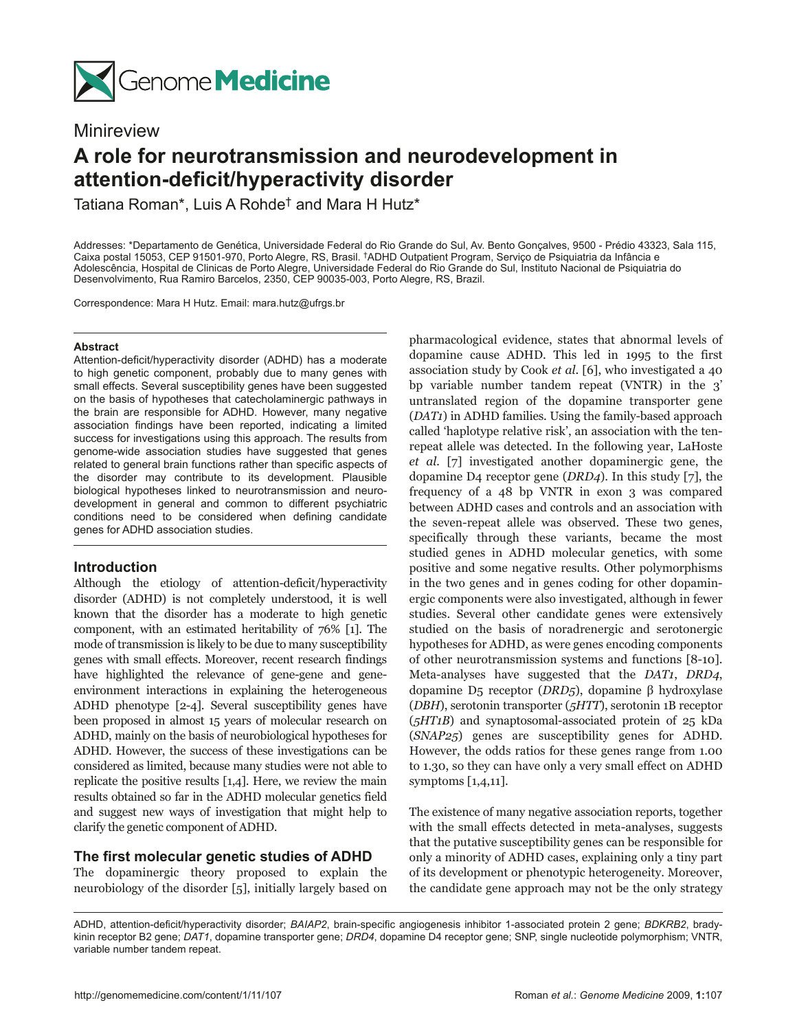

## Minireview

# **A role for neurotransmission and neurodevelopment in attention‑deficit/hyperactivity disorder**

Tatiana Roman\*, Luis A Rohde† and Mara H Hutz\*

Addresses: \*Departamento de Genética, Universidade Federal do Rio Grande do Sul, Av. Bento Gonçalves, 9500 - Prédio 43323, Sala 115, Caixa postal 15053, CEP 91501-970, Porto Alegre, RS, Brasil. †ADHD Outpatient Program, Serviço de Psiquiatria da Infância e Adolescência, Hospital de Clinicas de Porto Alegre, Universidade Federal do Rio Grande do Sul, Instituto Nacional de Psiquiatria do Desenvolvimento, Rua Ramiro Barcelos, 2350, CEP 90035-003, Porto Alegre, RS, Brazil.

Correspondence: Mara H Hutz. Email: mara.hutz@ufrgs.br

#### **Abstract**

Attention-deficit/hyperactivity disorder (ADHD) has a moderate to high genetic component, probably due to many genes with small effects. Several susceptibility genes have been suggested on the basis of hypotheses that catecholaminergic pathways in the brain are responsible for ADHD. However, many negative association findings have been reported, indicating a limited success for investigations using this approach. The results from genome-wide association studies have suggested that genes related to general brain functions rather than specific aspects of the disorder may contribute to its development. Plausible biological hypotheses linked to neurotransmission and neurodevelopment in general and common to different psychiatric conditions need to be considered when defining candidate genes for ADHD association studies.

## **Introduction**

Although the etiology of attention-deficit/hyperactivity disorder (ADHD) is not completely understood, it is well known that the disorder has a moderate to high genetic component, with an estimated heritability of 76% [1]. The mode of transmission is likely to be due to many susceptibility genes with small effects. Moreover, recent research findings have highlighted the relevance of gene-gene and geneenvironment interactions in explaining the heterogeneous ADHD phenotype [2-4]. Several susceptibility genes have been proposed in almost 15 years of molecular research on ADHD, mainly on the basis of neurobiological hypotheses for ADHD. However, the success of these investigations can be considered as limited, because many studies were not able to replicate the positive results [1,4]. Here, we review the main results obtained so far in the ADHD molecular genetics field and suggest new ways of investigation that might help to clarify the genetic component of ADHD.

## **The first molecular genetic studies of ADHD**

The dopaminergic theory proposed to explain the neurobiology of the disorder [5], initially largely based on

pharmacological evidence, states that abnormal levels of dopamine cause ADHD. This led in 1995 to the first association study by Cook *et al*. [6], who investigated a 40 bp variable number tandem repeat (VNTR) in the 3' untranslated region of the dopamine transporter gene (*DAT1*) in ADHD families. Using the family-based approach called 'haplotype relative risk', an association with the tenrepeat allele was detected. In the following year, LaHoste *et al.* [7] investigated another dopaminergic gene, the dopamine D4 receptor gene (*DRD4*). In this study [7], the frequency of a 48 bp VNTR in exon 3 was compared between ADHD cases and controls and an association with the seven-repeat allele was observed. These two genes, specifically through these variants, became the most studied genes in ADHD molecular genetics, with some positive and some negative results. Other polymorphisms in the two genes and in genes coding for other dopaminergic components were also investigated, although in fewer studies. Several other candidate genes were extensively studied on the basis of noradrenergic and serotonergic hypotheses for ADHD, as were genes encoding components of other neurotransmission systems and functions [8-10]. Meta-analyses have suggested that the *DAT1*, *DRD4*, dopamine D5 receptor (*DRD5*), dopamine β hydroxylase (*DBH*), serotonin transporter (*5HTT*), serotonin 1B receptor (*5HT1B*) and synaptosomal-associated protein of 25 kDa (*SNAP25*) genes are susceptibility genes for ADHD. However, the odds ratios for these genes range from 1.00 to 1.30, so they can have only a very small effect on ADHD symptoms [1,4,11].

The existence of many negative association reports, together with the small effects detected in meta-analyses, suggests that the putative susceptibility genes can be responsible for only a minority of ADHD cases, explaining only a tiny part of its development or phenotypic heterogeneity. Moreover, the candidate gene approach may not be the only strategy

ADHD, attention-deficit/hyperactivity disorder; *BAIAP2*, brain-specific angiogenesis inhibitor 1-associated protein 2 gene; *BDKRB2*, bradykinin receptor B2 gene; *DAT1*, dopamine transporter gene; *DRD4*, dopamine D4 receptor gene; SNP, single nucleotide polymorphism; VNTR, variable number tandem repeat.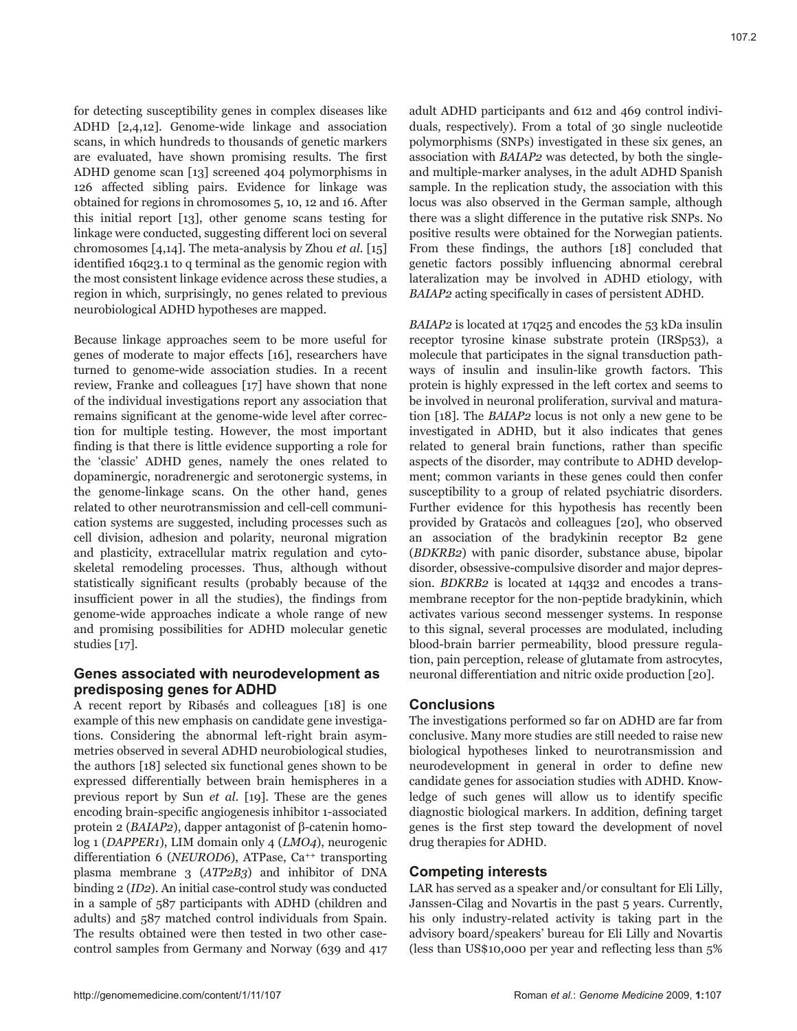for detecting susceptibility genes in complex diseases like ADHD [2,4,12]. Genome-wide linkage and association scans, in which hundreds to thousands of genetic markers are evaluated, have shown promising results. The first ADHD genome scan [13] screened 404 polymorphisms in 126 affected sibling pairs. Evidence for linkage was obtained for regions in chromosomes 5, 10, 12 and 16. After this initial report [13], other genome scans testing for linkage were conducted, suggesting different loci on several chromosomes [4,14]. The meta-analysis by Zhou *et al.* [15] identified 16q23.1 to q terminal as the genomic region with the most consistent linkage evidence across these studies, a region in which, surprisingly, no genes related to previous neurobiological ADHD hypotheses are mapped.

Because linkage approaches seem to be more useful for genes of moderate to major effects [16], researchers have turned to genome-wide association studies. In a recent review, Franke and colleagues [17] have shown that none of the individual investigations report any association that remains significant at the genome-wide level after correction for multiple testing. However, the most important finding is that there is little evidence supporting a role for the 'classic' ADHD genes, namely the ones related to dopaminergic, noradrenergic and serotonergic systems, in the genome-linkage scans. On the other hand, genes related to other neurotransmission and cell-cell communication systems are suggested, including processes such as cell division, adhesion and polarity, neuronal migration and plasticity, extracellular matrix regulation and cytoskeletal remodeling processes. Thus, although without statistically significant results (probably because of the insufficient power in all the studies), the findings from genome-wide approaches indicate a whole range of new and promising possibilities for ADHD molecular genetic studies [17].

## **Genes associated with neurodevelopment as predisposing genes for ADHD**

A recent report by Ribasés and colleagues [18] is one example of this new emphasis on candidate gene investigations. Considering the abnormal left-right brain asymmetries observed in several ADHD neurobiological studies, the authors [18] selected six functional genes shown to be expressed differentially between brain hemispheres in a previous report by Sun *et al*. [19]. These are the genes encoding brain-specific angiogenesis inhibitor 1-associated protein 2 (*BAIAP2*), dapper antagonist of β-catenin homolog 1 (*DAPPER1*), LIM domain only 4 (*LMO4*), neurogenic differentiation 6 (*NEUROD6*), ATPase, Ca<sup>++</sup> transporting plasma membrane 3 (*ATP2B3*) and inhibitor of DNA binding 2 (*ID2*). An initial case-control study was conducted in a sample of 587 participants with ADHD (children and adults) and 587 matched control individuals from Spain. The results obtained were then tested in two other casecontrol samples from Germany and Norway (639 and 417

adult ADHD participants and 612 and 469 control individuals, respectively). From a total of 30 single nucleotide polymorphisms (SNPs) investigated in these six genes, an association with *BAIAP2* was detected, by both the singleand multiple-marker analyses, in the adult ADHD Spanish sample. In the replication study, the association with this locus was also observed in the German sample, although there was a slight difference in the putative risk SNPs. No positive results were obtained for the Norwegian patients. From these findings, the authors [18] concluded that genetic factors possibly influencing abnormal cerebral lateralization may be involved in ADHD etiology, with *BAIAP2* acting specifically in cases of persistent ADHD.

*BAIAP2* is located at 17q25 and encodes the 53 kDa insulin receptor tyrosine kinase substrate protein (IRSp53), a molecule that participates in the signal transduction pathways of insulin and insulin-like growth factors. This protein is highly expressed in the left cortex and seems to be involved in neuronal proliferation, survival and maturation [18]. The *BAIAP2* locus is not only a new gene to be investigated in ADHD, but it also indicates that genes related to general brain functions, rather than specific aspects of the disorder, may contribute to ADHD development; common variants in these genes could then confer susceptibility to a group of related psychiatric disorders. Further evidence for this hypothesis has recently been provided by Gratacòs and colleagues [20], who observed an association of the bradykinin receptor B2 gene (*BDKRB2*) with panic disorder, substance abuse, bipolar disorder, obsessive-compulsive disorder and major depression. *BDKRB2* is located at 14q32 and encodes a transmembrane receptor for the non-peptide bradykinin, which activates various second messenger systems. In response to this signal, several processes are modulated, including blood-brain barrier permeability, blood pressure regulation, pain perception, release of glutamate from astrocytes, neuronal differentiation and nitric oxide production [20].

## **Conclusions**

The investigations performed so far on ADHD are far from conclusive. Many more studies are still needed to raise new biological hypotheses linked to neurotransmission and neurodevelopment in general in order to define new candidate genes for association studies with ADHD. Knowledge of such genes will allow us to identify specific diagnostic biological markers. In addition, defining target genes is the first step toward the development of novel drug therapies for ADHD.

## **Competing interests**

LAR has served as a speaker and/or consultant for Eli Lilly, Janssen-Cilag and Novartis in the past 5 years. Currently, his only industry-related activity is taking part in the advisory board/speakers' bureau for Eli Lilly and Novartis (less than US\$10,000 per year and reflecting less than 5%